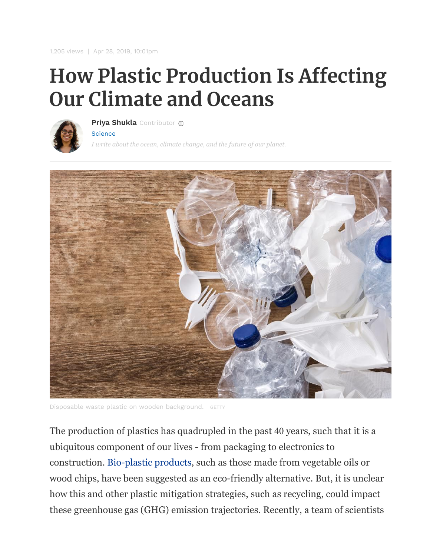1,205 views | Apr 28, 2019, 10:01pm

## **How Plastic Production Is Affecting Our Climate and Oceans**



**[Priya Shukla](https://www.forbes.com/sites/priyashukla/)** Contributor

**[Science](https://www.forbes.com/science)** 

*I write about the ocean, climate change, and the future of our planet.*



Disposable waste plastic on wooden background. GETTY

The production of plastics has quadrupled in the past 40 years, such that it is a ubiquitous component of our lives - from packaging to electronics to construction. [Bio-plastic products,](https://blogs.ei.columbia.edu/2017/12/13/the-truth-about-bioplastics/) such as those made from vegetable oils or wood chips, have been suggested as an eco-friendly alternative. But, it is unclear how this and other plastic mitigation strategies, such as recycling, could impact these greenhouse gas (GHG) emission trajectories. Recently, a team of scientists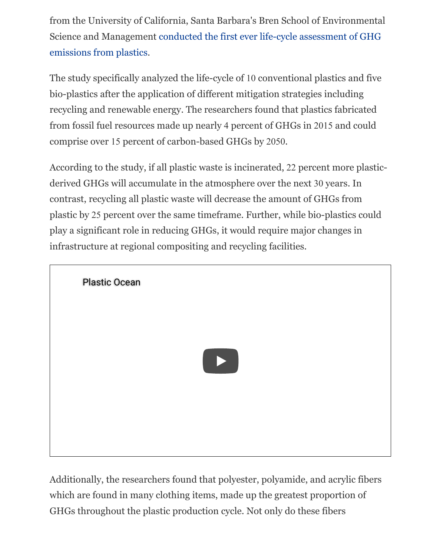from the University of California, Santa Barbara's Bren School of Environmental [Science and Management conducted the first ever life-cycle assessment of GHG](https://www.nature.com/articles/s41558-019-0459-z) emissions from plastics.

The study specifically analyzed the life-cycle of 10 conventional plastics and five bio-plastics after the application of different mitigation strategies including recycling and renewable energy. The researchers found that plastics fabricated from fossil fuel resources made up nearly 4 percent of GHGs in 2015 and could comprise over 15 percent of carbon-based GHGs by 2050.

According to the study, if all plastic waste is incinerated, 22 percent more plasticderived GHGs will accumulate in the atmosphere over the next 30 years. In contrast, recycling all plastic waste will decrease the amount of GHGs from plastic by 25 percent over the same timeframe. Further, while bio-plastics could play a significant role in reducing GHGs, it would require major changes in infrastructure at regional compositing and recycling facilities.



Additionally, the researchers found that polyester, polyamide, and acrylic fibers which are found in many clothing items, made up the greatest proportion of GHGs throughout the plastic production cycle. Not only do these fibers